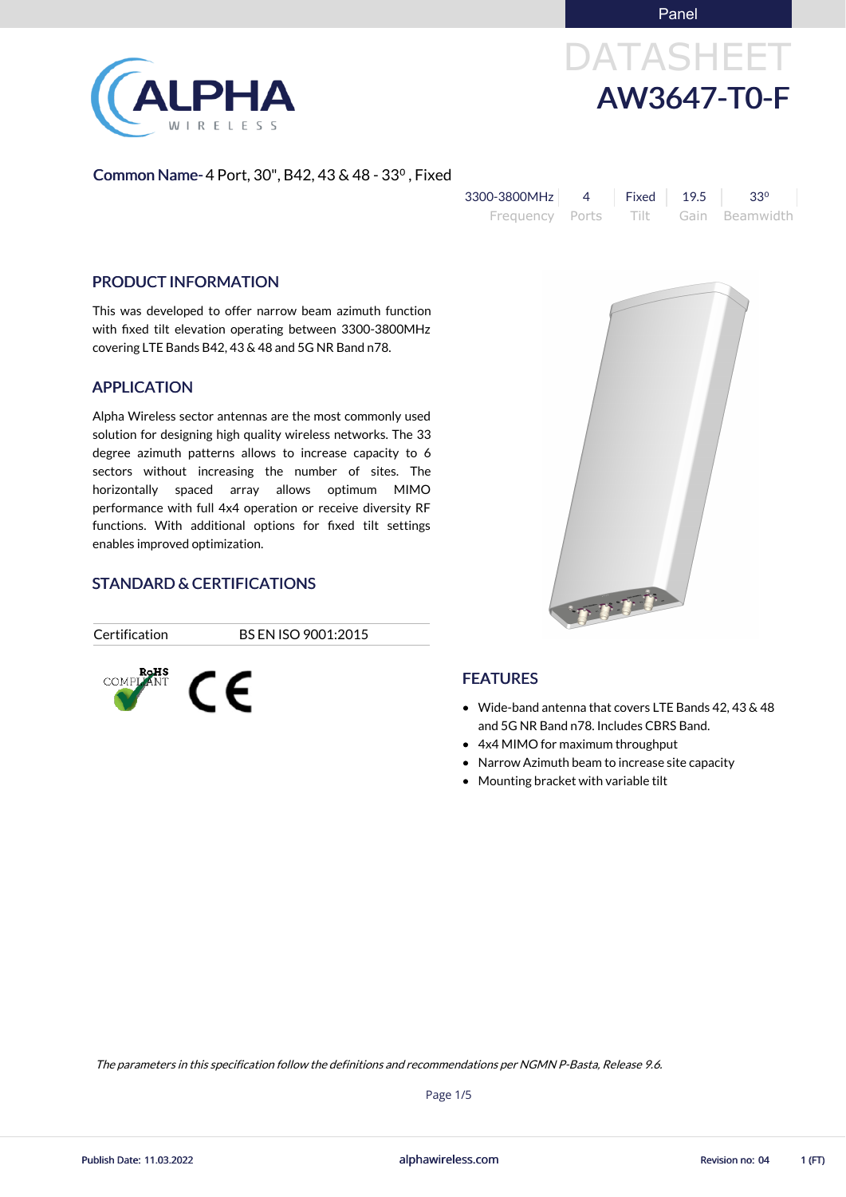Panel



# DATASHEET AW3647-T0-F

#### Common Name- 4 Port, 30", B42, 43 & 48 - 33⁰, Fixed

| 3300-3800MHz    | Fixed $19.5$ | $33^{\circ}$   |
|-----------------|--------------|----------------|
| Frequency Ports | — Tilt —     | Gain Beamwidth |

#### PRODUCT INFORMATION

This was developed to offer narrow beam azimuth function with fixed tilt elevation operating between 3300-3800MHz covering LTE Bands B42, 43 & 48 and 5G NR Band n78.

#### APPLICATION

Alpha Wireless sector antennas are the most commonly used solution for designing high quality wireless networks. The 33 degree azimuth patterns allows to increase capacity to 6 sectors without increasing the number of sites. The horizontally spaced array allows optimum MIMO performance with full 4x4 operation or receive diversity RF functions. With additional options for fixed tilt settings enables improved optimization.

#### STANDARD & CERTIFICATIONS

Certification BS EN ISO 9001:2015



#### **FEATURES**

Wide-band antenna that covers LTE Bands 42, 43 & 48 and 5G NR Band n78. Includes CBRS Band.

Try t

- 4x4 MIMO for maximum throughput
- Narrow Azimuth beam to increase site capacity
- Mounting bracket with variable tilt

Page 1/5

The parameters in this specification follow the definitions and recommendations per NGMN P-Basta, Release 9.6.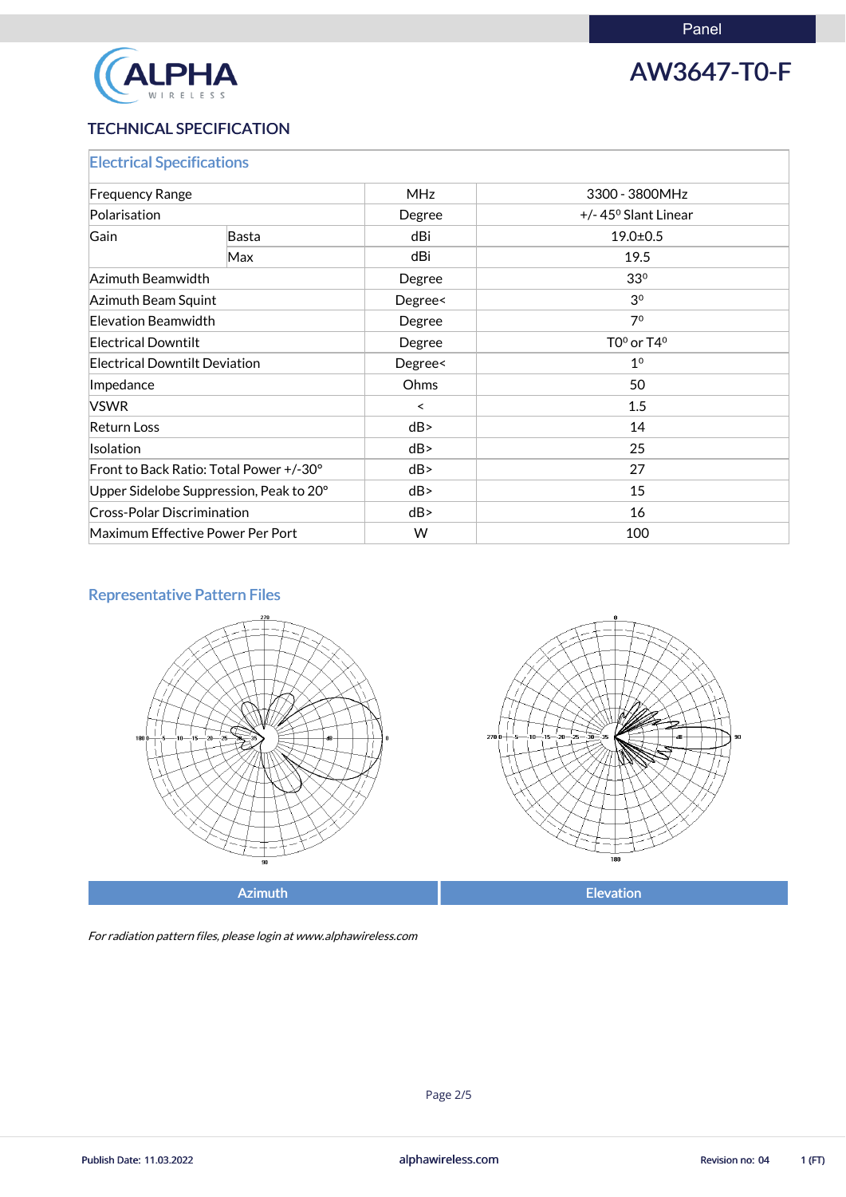

## AW3647-T0-F

### TECHNICAL SPECIFICATION

| <b>Electrical Specifications</b>        |     |            |                               |  |
|-----------------------------------------|-----|------------|-------------------------------|--|
| <b>Frequency Range</b>                  |     | <b>MHz</b> | 3300 - 3800MHz                |  |
| Polarisation                            |     | Degree     | $+/- 45^{\circ}$ Slant Linear |  |
| Gain<br><b>Basta</b>                    |     | dBi        | $19.0 \pm 0.5$                |  |
|                                         | Max | dBi        | 19.5                          |  |
| Azimuth Beamwidth                       |     | Degree     | 33 <sup>0</sup>               |  |
| Azimuth Beam Squint                     |     | Degree<    | 3 <sup>0</sup>                |  |
| Elevation Beamwidth                     |     | Degree     | 7 <sup>0</sup>                |  |
| <b>Electrical Downtilt</b>              |     | Degree     | $TO0$ or $T40$                |  |
| <b>Electrical Downtilt Deviation</b>    |     | Degree<    | 1 <sup>0</sup>                |  |
| Impedance                               |     | Ohms       | 50                            |  |
| <b>VSWR</b>                             |     | $\prec$    | 1.5                           |  |
| <b>Return Loss</b>                      |     | dB         | 14                            |  |
| Isolation                               |     | dB         | 25                            |  |
| Front to Back Ratio: Total Power +/-30° |     | dB         | 27                            |  |
| Upper Sidelobe Suppression, Peak to 20° |     | dB         | 15                            |  |
| <b>Cross-Polar Discrimination</b>       |     | dB         | 16                            |  |
| Maximum Effective Power Per Port        |     | W          | 100                           |  |

### Representative Pattern Files





Azimuth **Elevation** 

For radiation pattern files, please login at www.alphawireless.com

alphawireless.com

Publish Date: 11.03.2022 **Revision no: 04** 1 (FT)

Page 2/5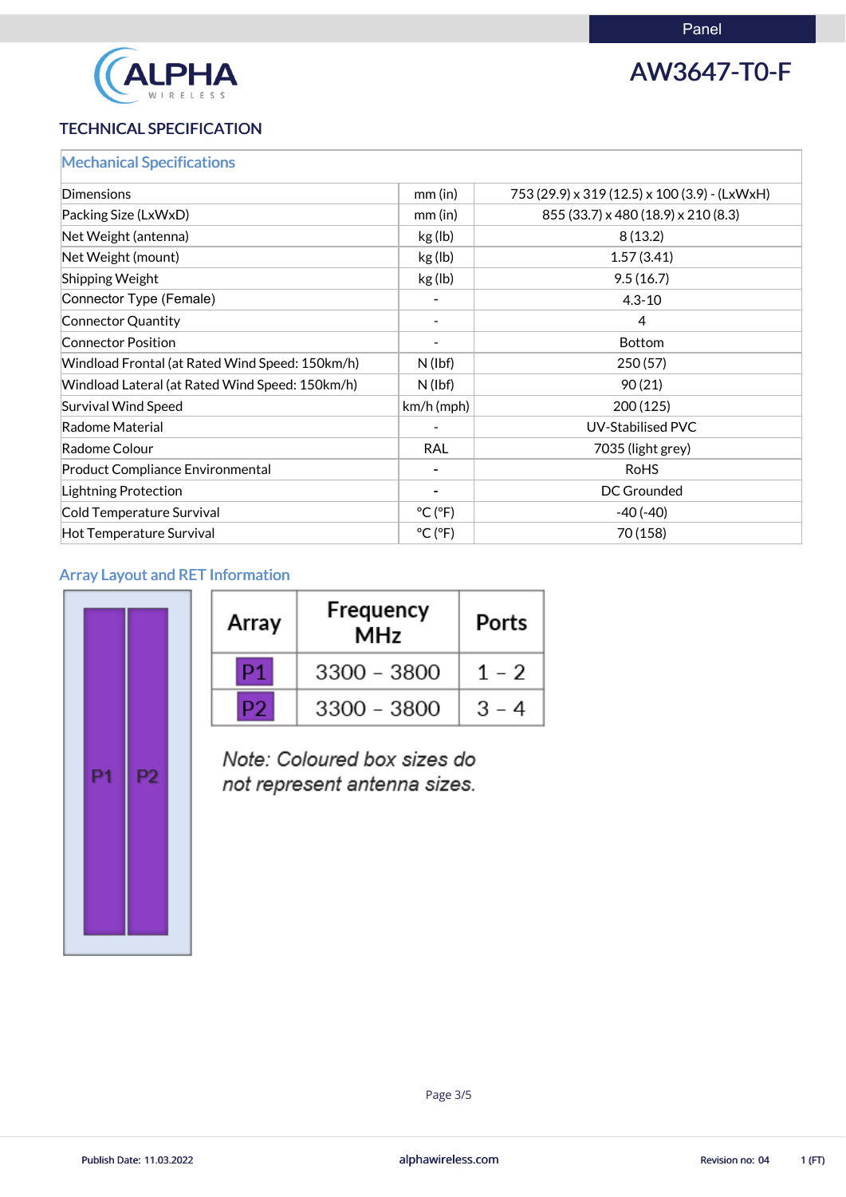

## AW3647-T0-F

### TECHNICAL SPECIFICATION

|  |  | <b>Mechanical Specifications</b> |
|--|--|----------------------------------|
|  |  |                                  |

| Dimensions                                      | $mm$ (in)                    | 753 (29.9) x 319 (12.5) x 100 (3.9) - (LxWxH) |
|-------------------------------------------------|------------------------------|-----------------------------------------------|
| Packing Size (LxWxD)                            | $mm$ (in)                    | 855 (33.7) x 480 (18.9) x 210 (8.3)           |
| Net Weight (antenna)                            | kg (lb)                      | 8(13.2)                                       |
| Net Weight (mount)                              | kg (lb)                      | 1.57(3.41)                                    |
| <b>Shipping Weight</b>                          | kg (lb)                      | 9.5(16.7)                                     |
| Connector Type (Female)                         |                              | $4.3 - 10$                                    |
| Connector Quantity                              |                              | 4                                             |
| <b>Connector Position</b>                       |                              | <b>Bottom</b>                                 |
| Windload Frontal (at Rated Wind Speed: 150km/h) | $N$ (lbf)                    | 250(57)                                       |
| Windload Lateral (at Rated Wind Speed: 150km/h) | $N$ (lbf)                    | 90(21)                                        |
| <b>Survival Wind Speed</b>                      | $km/h$ (mph)                 | 200(125)                                      |
| Radome Material                                 |                              | <b>UV-Stabilised PVC</b>                      |
| Radome Colour                                   | <b>RAL</b>                   | 7035 (light grey)                             |
| <b>Product Compliance Environmental</b>         |                              | <b>RoHS</b>                                   |
| Lightning Protection                            |                              | <b>DC Grounded</b>                            |
| Cold Temperature Survival                       | $^{\circ}$ C ( $^{\circ}$ F) | $-40(-40)$                                    |
| Hot Temperature Survival                        | $^{\circ}$ C ( $^{\circ}$ F) | 70 (158)                                      |

### Array Layout and RET Information

| P1 | P <sub>2</sub> |  |
|----|----------------|--|
|    |                |  |

| Array | Frequency<br><b>MHz</b> | Ports                     |
|-------|-------------------------|---------------------------|
|       | 3300 - 3800             | $1 - 2$                   |
|       | $3300 - 3800$           | $B =$<br>$\blacktriangle$ |

Note: Coloured box sizes do not represent antenna sizes.



alphawireless.com

Publish Date: 11.03.2022 **Revision no: 04** 1 (FT)

Page 3/5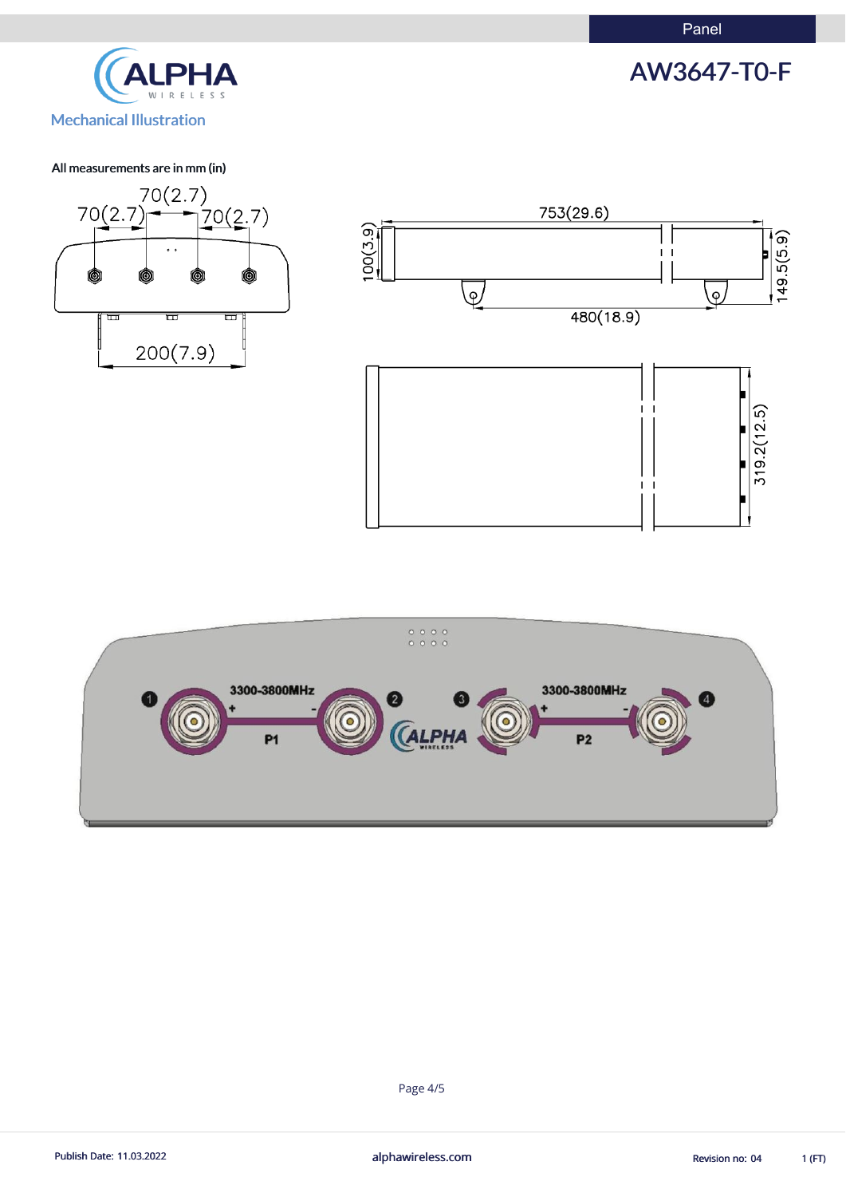Panel





#### All measurements are in mm (in)







Page 4/5